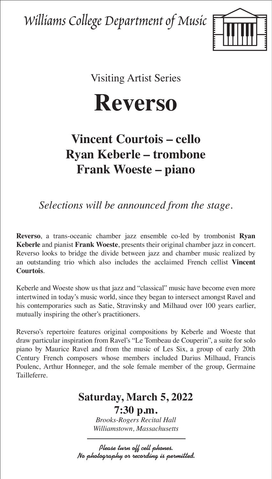Williams College Department of Music



Visiting Artist Series

**Reverso**

## **Vincent Courtois – cello Ryan Keberle – trombone Frank Woeste – piano**

*Selections will be announced from the stage.*

**Reverso**, a trans-oceanic chamber jazz ensemble co-led by trombonist **Ryan Keberle** and pianist **Frank Woeste**, presents their original chamber jazz in concert. Reverso looks to bridge the divide between jazz and chamber music realized by an outstanding trio which also includes the acclaimed French cellist **Vincent Courtois**.

Keberle and Woeste show us that jazz and "classical" music have become even more intertwined in today's music world, since they began to intersect amongst Ravel and his contemporaries such as Satie, Stravinsky and Milhaud over 100 years earlier, mutually inspiring the other's practitioners.

Reverso's repertoire features original compositions by Keberle and Woeste that draw particular inspiration from Ravel's "Le Tombeau de Couperin", a suite for solo piano by Maurice Ravel and from the music of Les Six, a group of early 20th Century French composers whose members included Darius Milhaud, Francis Poulenc, Arthur Honneger, and the sole female member of the group, Germaine Tailleferre.

## **Saturday, March 5, 2022**

**7:30 p.m.** *Brooks-Rogers Recital Hall Williamstown, Massachusetts*